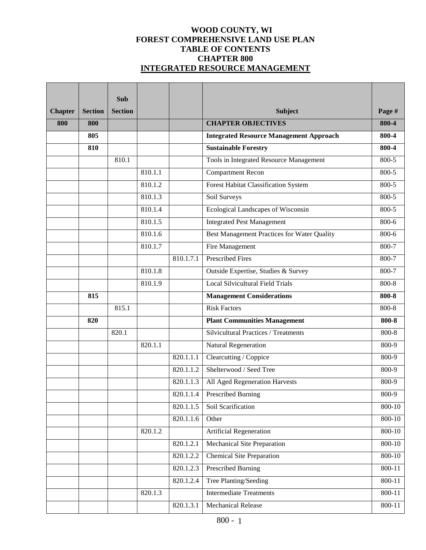# **WOOD COUNTY, WI FOREST COMPREHENSIVE LAND USE PLAN TABLE OF CONTENTS CHAPTER 800 INTEGRATED RESOURCE MANAGEMENT**

|                |                | Sub            |         |           |                                                |            |
|----------------|----------------|----------------|---------|-----------|------------------------------------------------|------------|
| <b>Chapter</b> | <b>Section</b> | <b>Section</b> |         |           | Subject                                        | Page #     |
| 800            | 800            |                |         |           | <b>CHAPTER OBJECTIVES</b>                      | 800-4      |
|                | 805            |                |         |           | <b>Integrated Resource Management Approach</b> | 800-4      |
|                | 810            |                |         |           | <b>Sustainable Forestry</b>                    | 800-4      |
|                |                | 810.1          |         |           | Tools in Integrated Resource Management        | 800-5      |
|                |                |                | 810.1.1 |           | <b>Compartment Recon</b>                       | 800-5      |
|                |                |                | 810.1.2 |           | Forest Habitat Classification System           | 800-5      |
|                |                |                | 810.1.3 |           | Soil Surveys                                   | 800-5      |
|                |                |                | 810.1.4 |           | Ecological Landscapes of Wisconsin             | 800-5      |
|                |                |                | 810.1.5 |           | <b>Integrated Pest Management</b>              | 800-6      |
|                |                |                | 810.1.6 |           | Best Management Practices for Water Quality    | 800-6      |
|                |                |                | 810.1.7 |           | <b>Fire Management</b>                         | 800-7      |
|                |                |                |         | 810.1.7.1 | <b>Prescribed Fires</b>                        | $800 - 7$  |
|                |                |                | 810.1.8 |           | Outside Expertise, Studies & Survey            | 800-7      |
|                |                |                | 810.1.9 |           | <b>Local Silvicultural Field Trials</b>        | 800-8      |
|                | 815            |                |         |           | <b>Management Considerations</b>               | 800-8      |
|                |                | 815.1          |         |           | <b>Risk Factors</b>                            | 800-8      |
|                | 820            |                |         |           | <b>Plant Communities Management</b>            | 800-8      |
|                |                | 820.1          |         |           | <b>Silvicultural Practices / Treatments</b>    | 800-8      |
|                |                |                | 820.1.1 |           | Natural Regeneration                           | 800-9      |
|                |                |                |         | 820.1.1.1 | Clearcutting / Coppice                         | 800-9      |
|                |                |                |         | 820.1.1.2 | Shelterwood / Seed Tree                        | 800-9      |
|                |                |                |         | 820.1.1.3 | All Aged Regeneration Harvests                 | 800-9      |
|                |                |                |         | 820.1.1.4 | <b>Prescribed Burning</b>                      | 800-9      |
|                |                |                |         | 820.1.1.5 | Soil Scarification                             | 800-10     |
|                |                |                |         | 820.1.1.6 | Other                                          | $800 - 10$ |
|                |                |                | 820.1.2 |           | Artificial Regeneration                        | $800 - 10$ |
|                |                |                |         | 820.1.2.1 | <b>Mechanical Site Preparation</b>             | 800-10     |
|                |                |                |         | 820.1.2.2 | <b>Chemical Site Preparation</b>               | 800-10     |
|                |                |                |         | 820.1.2.3 | <b>Prescribed Burning</b>                      | 800-11     |
|                |                |                |         | 820.1.2.4 | Tree Planting/Seeding                          | 800-11     |
|                |                |                | 820.1.3 |           | <b>Intermediate Treatments</b>                 | 800-11     |
|                |                |                |         | 820.1.3.1 | Mechanical Release                             | 800-11     |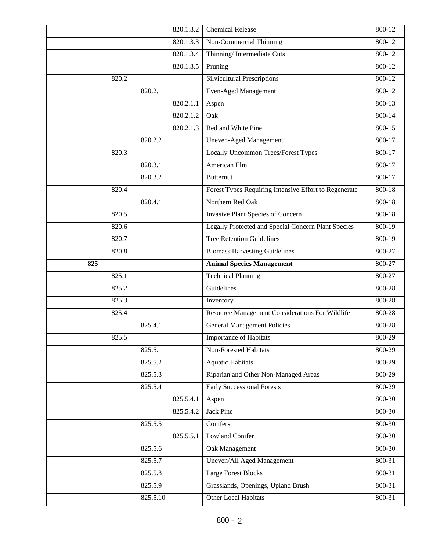|     |       |         | 820.1.3.2 | <b>Chemical Release</b>                                    | 800-12     |
|-----|-------|---------|-----------|------------------------------------------------------------|------------|
|     |       |         | 820.1.3.3 | Non-Commercial Thinning                                    | 800-12     |
|     |       |         | 820.1.3.4 | Thinning/Intermediate Cuts                                 | 800-12     |
|     |       |         | 820.1.3.5 | Pruning                                                    | 800-12     |
|     | 820.2 |         |           | Silvicultural Prescriptions                                | 800-12     |
|     |       | 820.2.1 |           | <b>Even-Aged Management</b>                                | 800-12     |
|     |       |         | 820.2.1.1 | Aspen                                                      | 800-13     |
|     |       |         | 820.2.1.2 | Oak                                                        | $800 - 14$ |
|     |       |         | 820.2.1.3 | Red and White Pine                                         | 800-15     |
|     |       | 820.2.2 |           | <b>Uneven-Aged Management</b>                              | 800-17     |
|     | 820.3 |         |           | <b>Locally Uncommon Trees/Forest Types</b>                 | 800-17     |
|     |       | 820.3.1 |           | American Elm                                               | $800 - 17$ |
|     |       | 820.3.2 |           | <b>Butternut</b>                                           | $800 - 17$ |
|     | 820.4 |         |           | Forest Types Requiring Intensive Effort to Regenerate      | 800-18     |
|     |       | 820.4.1 |           | Northern Red Oak                                           | 800-18     |
|     | 820.5 |         |           | Invasive Plant Species of Concern                          | 800-18     |
|     | 820.6 |         |           | <b>Legally Protected and Special Concern Plant Species</b> | 800-19     |
|     | 820.7 |         |           | <b>Tree Retention Guidelines</b>                           | 800-19     |
|     | 820.8 |         |           | <b>Biomass Harvesting Guidelines</b>                       | 800-27     |
| 825 |       |         |           | <b>Animal Species Management</b>                           | 800-27     |
|     | 825.1 |         |           | <b>Technical Planning</b>                                  | 800-27     |
|     | 825.2 |         |           | Guidelines                                                 | 800-28     |
|     | 825.3 |         |           | Inventory                                                  | 800-28     |
|     |       |         |           |                                                            | 800-28     |
|     | 825.4 |         |           | Resource Management Considerations For Wildlife            |            |
|     |       | 825.4.1 |           | <b>General Management Policies</b>                         | 800-28     |
|     | 825.5 |         |           | Importance of Habitats                                     | 800-29     |
|     |       | 825.5.1 |           | <b>Non-Forested Habitats</b>                               | 800-29     |
|     |       | 825.5.2 |           | <b>Aquatic Habitats</b>                                    | 800-29     |
|     |       | 825.5.3 |           | Riparian and Other Non-Managed Areas                       | 800-29     |
|     |       | 825.5.4 |           | <b>Early Successional Forests</b>                          | 800-29     |
|     |       |         | 825.5.4.1 | Aspen                                                      | 800-30     |
|     |       |         | 825.5.4.2 | <b>Jack Pine</b>                                           | 800-30     |
|     |       | 825.5.5 |           | Conifers                                                   | 800-30     |
|     |       |         | 825.5.5.1 | <b>Lowland Conifer</b>                                     | 800-30     |
|     |       | 825.5.6 |           | Oak Management                                             | 800-30     |
|     |       | 825.5.7 |           | Uneven/All Aged Management                                 | 800-31     |
|     |       | 825.5.8 |           | <b>Large Forest Blocks</b>                                 | 800-31     |
|     |       | 825.5.9 |           | Grasslands, Openings, Upland Brush                         | 800-31     |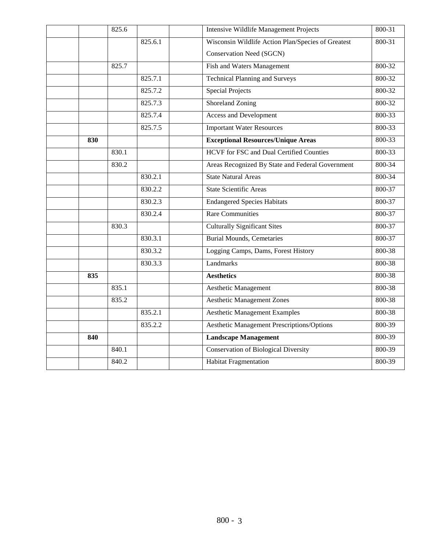|     | 825.6 |         | <b>Intensive Wildlife Management Projects</b>      | 800-31 |
|-----|-------|---------|----------------------------------------------------|--------|
|     |       | 825.6.1 | Wisconsin Wildlife Action Plan/Species of Greatest | 800-31 |
|     |       |         | <b>Conservation Need (SGCN)</b>                    |        |
|     | 825.7 |         | Fish and Waters Management                         | 800-32 |
|     |       | 825.7.1 | <b>Technical Planning and Surveys</b>              | 800-32 |
|     |       | 825.7.2 | <b>Special Projects</b>                            | 800-32 |
|     |       | 825.7.3 | Shoreland Zoning                                   | 800-32 |
|     |       | 825.7.4 | <b>Access and Development</b>                      | 800-33 |
|     |       | 825.7.5 | <b>Important Water Resources</b>                   | 800-33 |
| 830 |       |         | <b>Exceptional Resources/Unique Areas</b>          | 800-33 |
|     | 830.1 |         | HCVF for FSC and Dual Certified Counties           | 800-33 |
|     | 830.2 |         | Areas Recognized By State and Federal Government   | 800-34 |
|     |       | 830.2.1 | <b>State Natural Areas</b>                         | 800-34 |
|     |       | 830.2.2 | <b>State Scientific Areas</b>                      | 800-37 |
|     |       | 830.2.3 | <b>Endangered Species Habitats</b>                 | 800-37 |
|     |       | 830.2.4 | <b>Rare Communities</b>                            | 800-37 |
|     | 830.3 |         | <b>Culturally Significant Sites</b>                | 800-37 |
|     |       | 830.3.1 | <b>Burial Mounds, Cemetaries</b>                   | 800-37 |
|     |       | 830.3.2 | Logging Camps, Dams, Forest History                | 800-38 |
|     |       | 830.3.3 | Landmarks                                          | 800-38 |
| 835 |       |         | <b>Aesthetics</b>                                  | 800-38 |
|     | 835.1 |         | Aesthetic Management                               | 800-38 |
|     | 835.2 |         | <b>Aesthetic Management Zones</b>                  | 800-38 |
|     |       | 835.2.1 | <b>Aesthetic Management Examples</b>               | 800-38 |
|     |       | 835.2.2 | <b>Aesthetic Management Prescriptions/Options</b>  | 800-39 |
| 840 |       |         | <b>Landscape Management</b>                        | 800-39 |
|     | 840.1 |         | <b>Conservation of Biological Diversity</b>        | 800-39 |
|     | 840.2 |         | <b>Habitat Fragmentation</b>                       | 800-39 |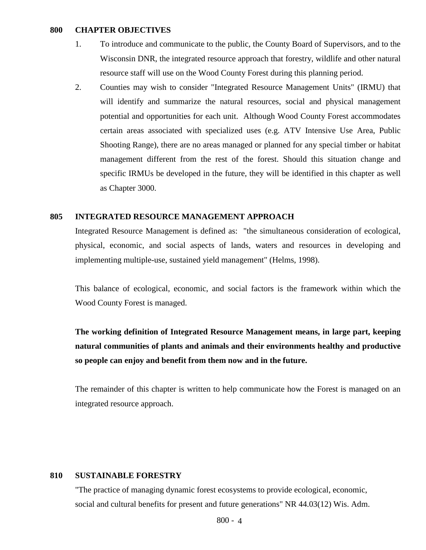#### **800 CHAPTER OBJECTIVES**

- 1. To introduce and communicate to the public, the County Board of Supervisors, and to the Wisconsin DNR, the integrated resource approach that forestry, wildlife and other natural resource staff will use on the Wood County Forest during this planning period.
- 2. Counties may wish to consider "Integrated Resource Management Units" (IRMU) that will identify and summarize the natural resources, social and physical management potential and opportunities for each unit. Although Wood County Forest accommodates certain areas associated with specialized uses (e.g. ATV Intensive Use Area, Public Shooting Range), there are no areas managed or planned for any special timber or habitat management different from the rest of the forest. Should this situation change and specific IRMUs be developed in the future, they will be identified in this chapter as well as Chapter 3000.

#### **805 INTEGRATED RESOURCE MANAGEMENT APPROACH**

Integrated Resource Management is defined as: "the simultaneous consideration of ecological, physical, economic, and social aspects of lands, waters and resources in developing and implementing multiple-use, sustained yield management" (Helms, 1998).

This balance of ecological, economic, and social factors is the framework within which the Wood County Forest is managed.

**The working definition of Integrated Resource Management means, in large part, keeping natural communities of plants and animals and their environments healthy and productive so people can enjoy and benefit from them now and in the future.** 

The remainder of this chapter is written to help communicate how the Forest is managed on an integrated resource approach.

#### **810 SUSTAINABLE FORESTRY**

"The practice of managing dynamic forest ecosystems to provide ecological, economic, social and cultural benefits for present and future generations" NR 44.03(12) Wis. Adm.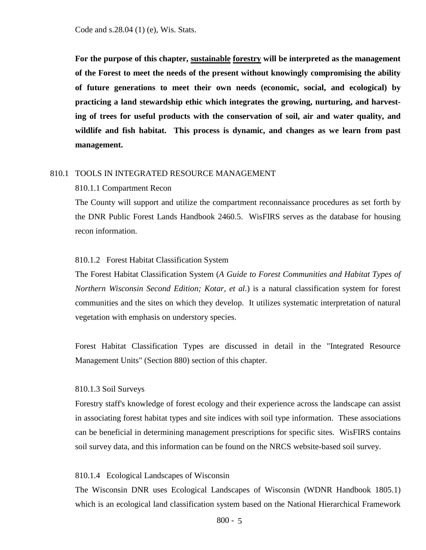Code and s.28.04 (1) (e), Wis. Stats.

**For the purpose of this chapter, sustainable forestry will be interpreted as the management of the Forest to meet the needs of the present without knowingly compromising the ability of future generations to meet their own needs (economic, social, and ecological) by practicing a land stewardship ethic which integrates the growing, nurturing, and harvesting of trees for useful products with the conservation of soil, air and water quality, and wildlife and fish habitat. This process is dynamic, and changes as we learn from past management.**

#### 810.1 TOOLS IN INTEGRATED RESOURCE MANAGEMENT

#### 810.1.1 Compartment Recon

The County will support and utilize the compartment reconnaissance procedures as set forth by the DNR Public Forest Lands Handbook 2460.5. WisFIRS serves as the database for housing recon information.

#### 810.1.2 Forest Habitat Classification System

The Forest Habitat Classification System (*A Guide to Forest Communities and Habitat Types of Northern Wisconsin Second Edition; Kotar, et al*.) is a natural classification system for forest communities and the sites on which they develop. It utilizes systematic interpretation of natural vegetation with emphasis on understory species.

Forest Habitat Classification Types are discussed in detail in the "Integrated Resource Management Units" (Section 880) section of this chapter.

### 810.1.3 Soil Surveys

Forestry staff's knowledge of forest ecology and their experience across the landscape can assist in associating forest habitat types and site indices with soil type information. These associations can be beneficial in determining management prescriptions for specific sites. WisFIRS contains soil survey data, and this information can be found on the NRCS website-based soil survey.

#### 810.1.4 Ecological Landscapes of Wisconsin

The Wisconsin DNR uses Ecological Landscapes of Wisconsin (WDNR Handbook 1805.1) which is an ecological land classification system based on the National Hierarchical Framework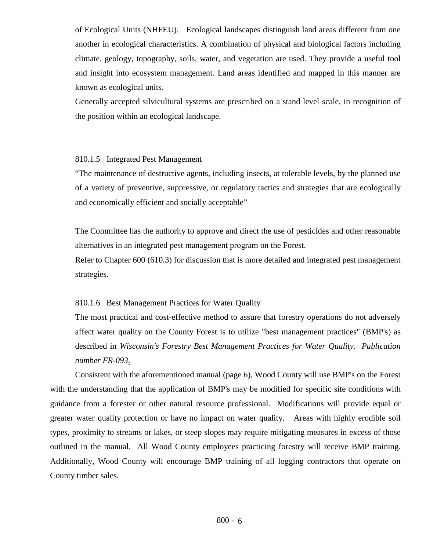of Ecological Units (NHFEU). Ecological landscapes distinguish land areas different from one another in ecological characteristics. A combination of physical and biological factors including climate, geology, topography, soils, water, and vegetation are used. They provide a useful tool and insight into ecosystem management. Land areas identified and mapped in this manner are known as ecological units.

Generally accepted silvicultural systems are prescribed on a stand level scale, in recognition of the position within an ecological landscape.

### 810.1.5 Integrated Pest Management

"The maintenance of destructive agents, including insects, at tolerable levels, by the planned use of a variety of preventive, suppressive, or regulatory tactics and strategies that are ecologically and economically efficient and socially acceptable"

The Committee has the authority to approve and direct the use of pesticides and other reasonable alternatives in an integrated pest management program on the Forest.

Refer to Chapter 600 (610.3) for discussion that is more detailed and integrated pest management strategies.

### 810.1.6 Best Management Practices for Water Quality

The most practical and cost-effective method to assure that forestry operations do not adversely affect water quality on the County Forest is to utilize "best management practices" (BMP's) as described in *Wisconsin's Forestry Best Management Practices for Water Quality. Publication number FR-093*.

Consistent with the aforementioned manual (page 6), Wood County will use BMP's on the Forest with the understanding that the application of BMP's may be modified for specific site conditions with guidance from a forester or other natural resource professional. Modifications will provide equal or greater water quality protection or have no impact on water quality. Areas with highly erodible soil types, proximity to streams or lakes, or steep slopes may require mitigating measures in excess of those outlined in the manual. All Wood County employees practicing forestry will receive BMP training. Additionally, Wood County will encourage BMP training of all logging contractors that operate on County timber sales.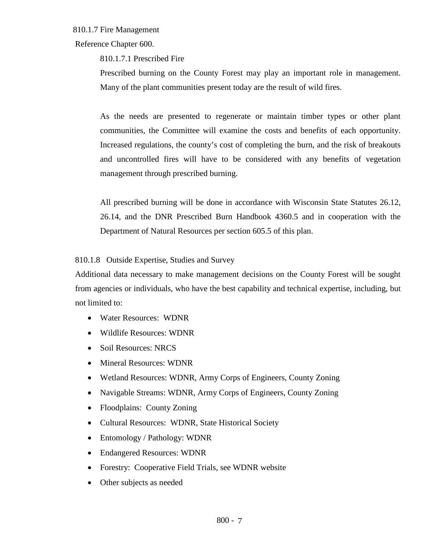# 810.1.7 Fire Management

Reference Chapter 600.

810.1.7.1 Prescribed Fire

Prescribed burning on the County Forest may play an important role in management. Many of the plant communities present today are the result of wild fires.

As the needs are presented to regenerate or maintain timber types or other plant communities, the Committee will examine the costs and benefits of each opportunity. Increased regulations, the county's cost of completing the burn, and the risk of breakouts and uncontrolled fires will have to be considered with any benefits of vegetation management through prescribed burning.

All prescribed burning will be done in accordance with Wisconsin State Statutes 26.12, 26.14, and the DNR Prescribed Burn Handbook 4360.5 and in cooperation with the Department of Natural Resources per section 605.5 of this plan.

810.1.8 Outside Expertise, Studies and Survey

Additional data necessary to make management decisions on the County Forest will be sought from agencies or individuals, who have the best capability and technical expertise, including, but not limited to:

- Water Resources: WDNR
- Wildlife Resources: WDNR
- Soil Resources: NRCS
- Mineral Resources: WDNR
- Wetland Resources: WDNR, Army Corps of Engineers, County Zoning
- Navigable Streams: WDNR, Army Corps of Engineers, County Zoning
- Floodplains: County Zoning
- Cultural Resources: WDNR, State Historical Society
- Entomology / Pathology: WDNR
- Endangered Resources: WDNR
- Forestry: Cooperative Field Trials, see WDNR website
- Other subjects as needed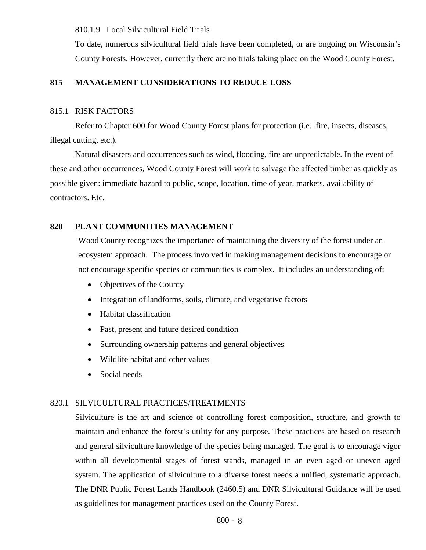810.1.9 Local Silvicultural Field Trials

To date, numerous silvicultural field trials have been completed, or are ongoing on Wisconsin's County Forests. However, currently there are no trials taking place on the Wood County Forest.

### **815 MANAGEMENT CONSIDERATIONS TO REDUCE LOSS**

### 815.1 RISK FACTORS

Refer to Chapter 600 for Wood County Forest plans for protection (i.e. fire, insects, diseases, illegal cutting, etc.).

Natural disasters and occurrences such as wind, flooding, fire are unpredictable. In the event of these and other occurrences, Wood County Forest will work to salvage the affected timber as quickly as possible given: immediate hazard to public, scope, location, time of year, markets, availability of contractors. Etc.

# **820 PLANT COMMUNITIES MANAGEMENT**

Wood County recognizes the importance of maintaining the diversity of the forest under an ecosystem approach. The process involved in making management decisions to encourage or not encourage specific species or communities is complex. It includes an understanding of:

- Objectives of the County
- Integration of landforms, soils, climate, and vegetative factors
- Habitat classification
- Past, present and future desired condition
- Surrounding ownership patterns and general objectives
- Wildlife habitat and other values
- Social needs

# 820.1 SILVICULTURAL PRACTICES/TREATMENTS

Silviculture is the art and science of controlling forest composition, structure, and growth to maintain and enhance the forest's utility for any purpose. These practices are based on research and general silviculture knowledge of the species being managed. The goal is to encourage vigor within all developmental stages of forest stands, managed in an even aged or uneven aged system. The application of silviculture to a diverse forest needs a unified, systematic approach. The DNR Public Forest Lands Handbook (2460.5) and DNR Silvicultural Guidance will be used as guidelines for management practices used on the County Forest.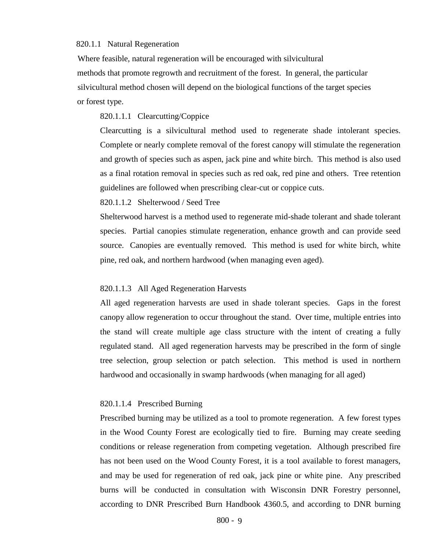#### 820.1.1 Natural Regeneration

 Where feasible, natural regeneration will be encouraged with silvicultural methods that promote regrowth and recruitment of the forest. In general, the particular silvicultural method chosen will depend on the biological functions of the target species or forest type.

#### 820.1.1.1 Clearcutting/Coppice

Clearcutting is a silvicultural method used to regenerate shade intolerant species. Complete or nearly complete removal of the forest canopy will stimulate the regeneration and growth of species such as aspen, jack pine and white birch. This method is also used as a final rotation removal in species such as red oak, red pine and others. Tree retention guidelines are followed when prescribing clear-cut or coppice cuts.

#### 820.1.1.2 Shelterwood / Seed Tree

Shelterwood harvest is a method used to regenerate mid-shade tolerant and shade tolerant species. Partial canopies stimulate regeneration, enhance growth and can provide seed source. Canopies are eventually removed. This method is used for white birch, white pine, red oak, and northern hardwood (when managing even aged).

#### 820.1.1.3 All Aged Regeneration Harvests

All aged regeneration harvests are used in shade tolerant species. Gaps in the forest canopy allow regeneration to occur throughout the stand. Over time, multiple entries into the stand will create multiple age class structure with the intent of creating a fully regulated stand. All aged regeneration harvests may be prescribed in the form of single tree selection, group selection or patch selection. This method is used in northern hardwood and occasionally in swamp hardwoods (when managing for all aged)

#### 820.1.1.4 Prescribed Burning

Prescribed burning may be utilized as a tool to promote regeneration. A few forest types in the Wood County Forest are ecologically tied to fire. Burning may create seeding conditions or release regeneration from competing vegetation. Although prescribed fire has not been used on the Wood County Forest, it is a tool available to forest managers, and may be used for regeneration of red oak, jack pine or white pine. Any prescribed burns will be conducted in consultation with Wisconsin DNR Forestry personnel, according to DNR Prescribed Burn Handbook 4360.5, and according to DNR burning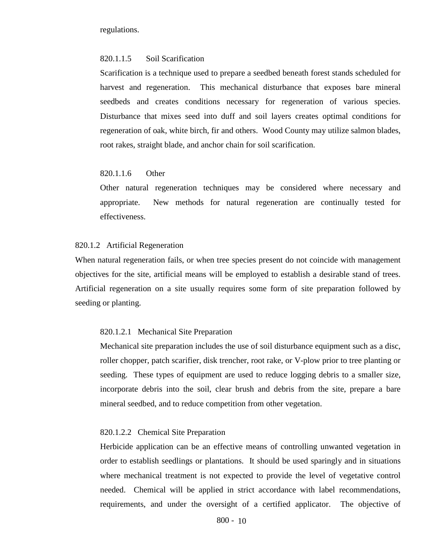regulations.

### 820.1.1.5 Soil Scarification

Scarification is a technique used to prepare a seedbed beneath forest stands scheduled for harvest and regeneration. This mechanical disturbance that exposes bare mineral seedbeds and creates conditions necessary for regeneration of various species. Disturbance that mixes seed into duff and soil layers creates optimal conditions for regeneration of oak, white birch, fir and others. Wood County may utilize salmon blades, root rakes, straight blade, and anchor chain for soil scarification.

### 820.1.1.6 Other

Other natural regeneration techniques may be considered where necessary and appropriate. New methods for natural regeneration are continually tested for effectiveness.

#### 820.1.2 Artificial Regeneration

 When natural regeneration fails, or when tree species present do not coincide with management objectives for the site, artificial means will be employed to establish a desirable stand of trees. Artificial regeneration on a site usually requires some form of site preparation followed by seeding or planting.

#### 820.1.2.1 Mechanical Site Preparation

Mechanical site preparation includes the use of soil disturbance equipment such as a disc, roller chopper, patch scarifier, disk trencher, root rake, or V-plow prior to tree planting or seeding. These types of equipment are used to reduce logging debris to a smaller size, incorporate debris into the soil, clear brush and debris from the site, prepare a bare mineral seedbed, and to reduce competition from other vegetation.

#### 820.1.2.2 Chemical Site Preparation

Herbicide application can be an effective means of controlling unwanted vegetation in order to establish seedlings or plantations. It should be used sparingly and in situations where mechanical treatment is not expected to provide the level of vegetative control needed. Chemical will be applied in strict accordance with label recommendations, requirements, and under the oversight of a certified applicator. The objective of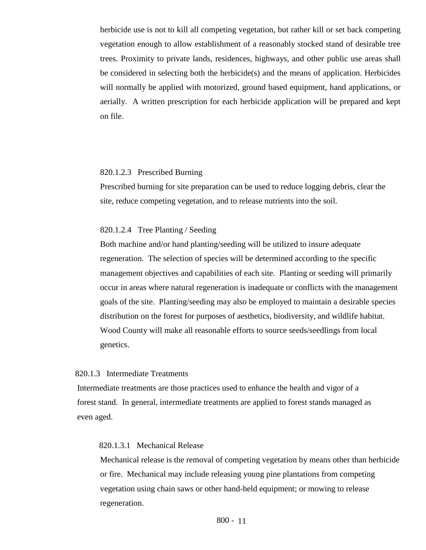herbicide use is not to kill all competing vegetation, but rather kill or set back competing vegetation enough to allow establishment of a reasonably stocked stand of desirable tree trees. Proximity to private lands, residences, highways, and other public use areas shall be considered in selecting both the herbicide(s) and the means of application. Herbicides will normally be applied with motorized, ground based equipment, hand applications, or aerially. A written prescription for each herbicide application will be prepared and kept on file.

#### 820.1.2.3 Prescribed Burning

Prescribed burning for site preparation can be used to reduce logging debris, clear the site, reduce competing vegetation, and to release nutrients into the soil.

### 820.1.2.4 Tree Planting / Seeding

Both machine and/or hand planting/seeding will be utilized to insure adequate regeneration. The selection of species will be determined according to the specific management objectives and capabilities of each site. Planting or seeding will primarily occur in areas where natural regeneration is inadequate or conflicts with the management goals of the site. Planting/seeding may also be employed to maintain a desirable species distribution on the forest for purposes of aesthetics, biodiversity, and wildlife habitat. Wood County will make all reasonable efforts to source seeds/seedlings from local genetics.

### 820.1.3 Intermediate Treatments

 Intermediate treatments are those practices used to enhance the health and vigor of a forest stand. In general, intermediate treatments are applied to forest stands managed as even aged.

#### 820.1.3.1 Mechanical Release

Mechanical release is the removal of competing vegetation by means other than herbicide or fire. Mechanical may include releasing young pine plantations from competing vegetation using chain saws or other hand-held equipment; or mowing to release regeneration.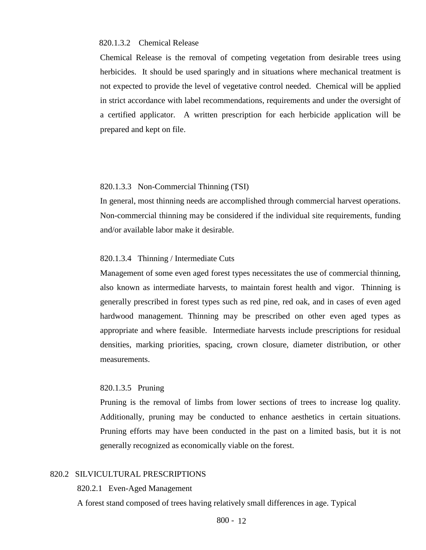#### 820.1.3.2 Chemical Release

Chemical Release is the removal of competing vegetation from desirable trees using herbicides. It should be used sparingly and in situations where mechanical treatment is not expected to provide the level of vegetative control needed. Chemical will be applied in strict accordance with label recommendations, requirements and under the oversight of a certified applicator. A written prescription for each herbicide application will be prepared and kept on file.

### 820.1.3.3 Non-Commercial Thinning (TSI)

In general, most thinning needs are accomplished through commercial harvest operations. Non-commercial thinning may be considered if the individual site requirements, funding and/or available labor make it desirable.

#### 820.1.3.4 Thinning / Intermediate Cuts

Management of some even aged forest types necessitates the use of commercial thinning, also known as intermediate harvests, to maintain forest health and vigor. Thinning is generally prescribed in forest types such as red pine, red oak, and in cases of even aged hardwood management. Thinning may be prescribed on other even aged types as appropriate and where feasible. Intermediate harvests include prescriptions for residual densities, marking priorities, spacing, crown closure, diameter distribution, or other measurements.

#### 820.1.3.5 Pruning

Pruning is the removal of limbs from lower sections of trees to increase log quality. Additionally, pruning may be conducted to enhance aesthetics in certain situations. Pruning efforts may have been conducted in the past on a limited basis, but it is not generally recognized as economically viable on the forest.

# 820.2 SILVICULTURAL PRESCRIPTIONS

820.2.1 Even-Aged Management

A forest stand composed of trees having relatively small differences in age. Typical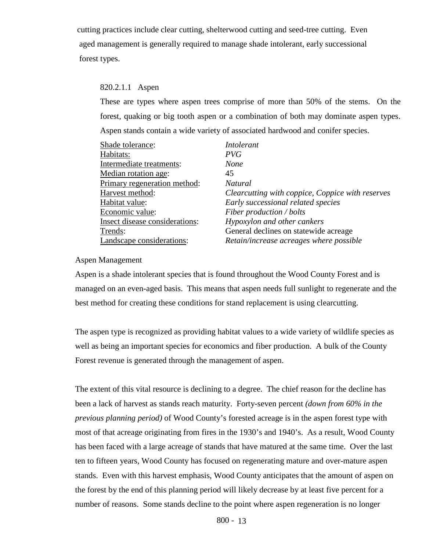cutting practices include clear cutting, shelterwood cutting and seed-tree cutting. Even aged management is generally required to manage shade intolerant, early successional forest types.

# 820.2.1.1 Aspen

 These are types where aspen trees comprise of more than 50% of the stems. On the forest, quaking or big tooth aspen or a combination of both may dominate aspen types. Aspen stands contain a wide variety of associated hardwood and conifer species.

| Shade tolerance:               | <i>Intolerant</i>                                |
|--------------------------------|--------------------------------------------------|
| Habitats:                      | PVG                                              |
| Intermediate treatments:       | None                                             |
| Median rotation age:           | 45                                               |
| Primary regeneration method:   | Natural                                          |
| Harvest method:                | Clearcutting with coppice, Coppice with reserves |
| Habitat value:                 | Early successional related species               |
| Economic value:                | Fiber production / bolts                         |
| Insect disease considerations: | Hypoxylon and other cankers                      |
| Trends:                        | General declines on statewide acreage            |
| Landscape considerations:      | Retain/increase acreages where possible          |

# Aspen Management

Aspen is a shade intolerant species that is found throughout the Wood County Forest and is managed on an even-aged basis. This means that aspen needs full sunlight to regenerate and the best method for creating these conditions for stand replacement is using clearcutting.

The aspen type is recognized as providing habitat values to a wide variety of wildlife species as well as being an important species for economics and fiber production. A bulk of the County Forest revenue is generated through the management of aspen.

The extent of this vital resource is declining to a degree. The chief reason for the decline has been a lack of harvest as stands reach maturity. Forty-seven percent *(down from 60% in the previous planning period)* of Wood County's forested acreage is in the aspen forest type with most of that acreage originating from fires in the 1930's and 1940's. As a result, Wood County has been faced with a large acreage of stands that have matured at the same time. Over the last ten to fifteen years, Wood County has focused on regenerating mature and over-mature aspen stands. Even with this harvest emphasis, Wood County anticipates that the amount of aspen on the forest by the end of this planning period will likely decrease by at least five percent for a number of reasons. Some stands decline to the point where aspen regeneration is no longer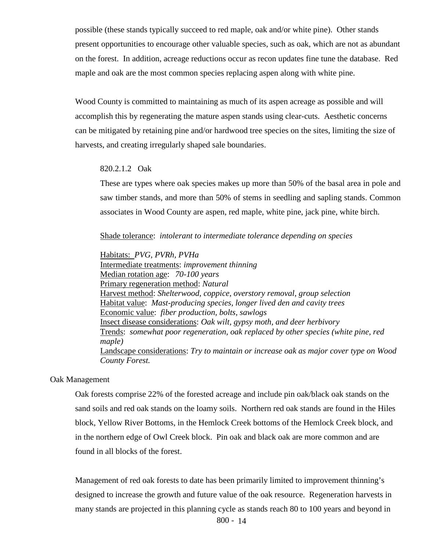possible (these stands typically succeed to red maple, oak and/or white pine). Other stands present opportunities to encourage other valuable species, such as oak, which are not as abundant on the forest. In addition, acreage reductions occur as recon updates fine tune the database. Red maple and oak are the most common species replacing aspen along with white pine.

Wood County is committed to maintaining as much of its aspen acreage as possible and will accomplish this by regenerating the mature aspen stands using clear-cuts. Aesthetic concerns can be mitigated by retaining pine and/or hardwood tree species on the sites, limiting the size of harvests, and creating irregularly shaped sale boundaries.

#### 820.2.1.2 Oak

 These are types where oak species makes up more than 50% of the basal area in pole and saw timber stands, and more than 50% of stems in seedling and sapling stands. Common associates in Wood County are aspen, red maple, white pine, jack pine, white birch.

Shade tolerance: *intolerant to intermediate tolerance depending on species*

Habitats: *PVG, PVRh, PVHa* Intermediate treatments: *improvement thinning* Median rotation age: *70-100 years* Primary regeneration method: *Natural* Harvest method: *Shelterwood, coppice, overstory removal, group selection* Habitat value: *Mast-producing species, longer lived den and cavity trees* Economic value: *fiber production, bolts, sawlogs* Insect disease considerations: *Oak wilt, gypsy moth, and deer herbivory* Trends: *somewhat poor regeneration, oak replaced by other species (white pine, red maple)* Landscape considerations: *Try to maintain or increase oak as major cover type on Wood County Forest.*

#### Oak Management

Oak forests comprise 22% of the forested acreage and include pin oak/black oak stands on the sand soils and red oak stands on the loamy soils. Northern red oak stands are found in the Hiles block, Yellow River Bottoms, in the Hemlock Creek bottoms of the Hemlock Creek block, and in the northern edge of Owl Creek block. Pin oak and black oak are more common and are found in all blocks of the forest.

Management of red oak forests to date has been primarily limited to improvement thinning's designed to increase the growth and future value of the oak resource. Regeneration harvests in many stands are projected in this planning cycle as stands reach 80 to 100 years and beyond in

800 - 14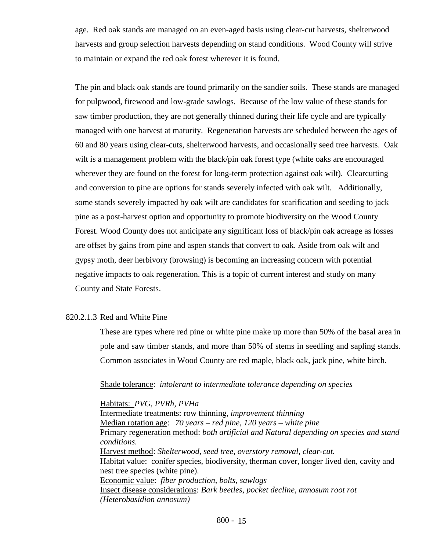age. Red oak stands are managed on an even-aged basis using clear-cut harvests, shelterwood harvests and group selection harvests depending on stand conditions. Wood County will strive to maintain or expand the red oak forest wherever it is found.

The pin and black oak stands are found primarily on the sandier soils. These stands are managed for pulpwood, firewood and low-grade sawlogs. Because of the low value of these stands for saw timber production, they are not generally thinned during their life cycle and are typically managed with one harvest at maturity. Regeneration harvests are scheduled between the ages of 60 and 80 years using clear-cuts, shelterwood harvests, and occasionally seed tree harvests. Oak wilt is a management problem with the black/pin oak forest type (white oaks are encouraged wherever they are found on the forest for long-term protection against oak wilt). Clearcutting and conversion to pine are options for stands severely infected with oak wilt. Additionally, some stands severely impacted by oak wilt are candidates for scarification and seeding to jack pine as a post-harvest option and opportunity to promote biodiversity on the Wood County Forest. Wood County does not anticipate any significant loss of black/pin oak acreage as losses are offset by gains from pine and aspen stands that convert to oak. Aside from oak wilt and gypsy moth, deer herbivory (browsing) is becoming an increasing concern with potential negative impacts to oak regeneration. This is a topic of current interest and study on many County and State Forests.

### 820.2.1.3 Red and White Pine

 These are types where red pine or white pine make up more than 50% of the basal area in pole and saw timber stands, and more than 50% of stems in seedling and sapling stands. Common associates in Wood County are red maple, black oak, jack pine, white birch.

#### Shade tolerance: *intolerant to intermediate tolerance depending on species*

Habitats: *PVG, PVRh, PVHa* Intermediate treatments: row thinning, *improvement thinning* Median rotation age: *70 years – red pine, 120 years – white pine* Primary regeneration method: *both artificial and Natural depending on species and stand conditions.* Harvest method: *Shelterwood, seed tree, overstory removal, clear-cut.* Habitat value: conifer species, biodiversity, therman cover, longer lived den, cavity and nest tree species (white pine). Economic value: *fiber production, bolts, sawlogs* Insect disease considerations: *Bark beetles, pocket decline, annosum root rot (Heterobasidion annosum)*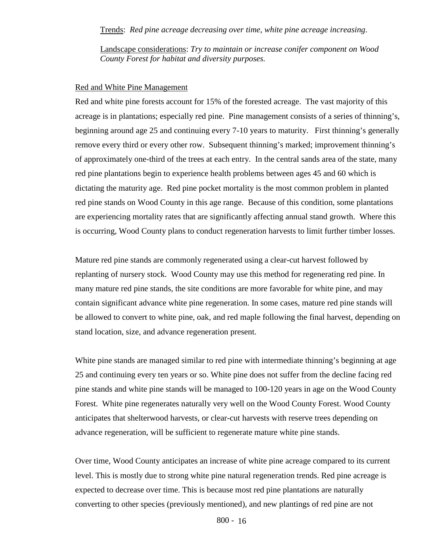### Trends: *Red pine acreage decreasing over time, white pine acreage increasing*.

Landscape considerations: *Try to maintain or increase conifer component on Wood County Forest for habitat and diversity purposes.*

#### Red and White Pine Management

Red and white pine forests account for 15% of the forested acreage. The vast majority of this acreage is in plantations; especially red pine. Pine management consists of a series of thinning's, beginning around age 25 and continuing every 7-10 years to maturity. First thinning's generally remove every third or every other row. Subsequent thinning's marked; improvement thinning's of approximately one-third of the trees at each entry. In the central sands area of the state, many red pine plantations begin to experience health problems between ages 45 and 60 which is dictating the maturity age. Red pine pocket mortality is the most common problem in planted red pine stands on Wood County in this age range. Because of this condition, some plantations are experiencing mortality rates that are significantly affecting annual stand growth. Where this is occurring, Wood County plans to conduct regeneration harvests to limit further timber losses.

Mature red pine stands are commonly regenerated using a clear-cut harvest followed by replanting of nursery stock. Wood County may use this method for regenerating red pine. In many mature red pine stands, the site conditions are more favorable for white pine, and may contain significant advance white pine regeneration. In some cases, mature red pine stands will be allowed to convert to white pine, oak, and red maple following the final harvest, depending on stand location, size, and advance regeneration present.

White pine stands are managed similar to red pine with intermediate thinning's beginning at age 25 and continuing every ten years or so. White pine does not suffer from the decline facing red pine stands and white pine stands will be managed to 100-120 years in age on the Wood County Forest. White pine regenerates naturally very well on the Wood County Forest. Wood County anticipates that shelterwood harvests, or clear-cut harvests with reserve trees depending on advance regeneration, will be sufficient to regenerate mature white pine stands.

Over time, Wood County anticipates an increase of white pine acreage compared to its current level. This is mostly due to strong white pine natural regeneration trends. Red pine acreage is expected to decrease over time. This is because most red pine plantations are naturally converting to other species (previously mentioned), and new plantings of red pine are not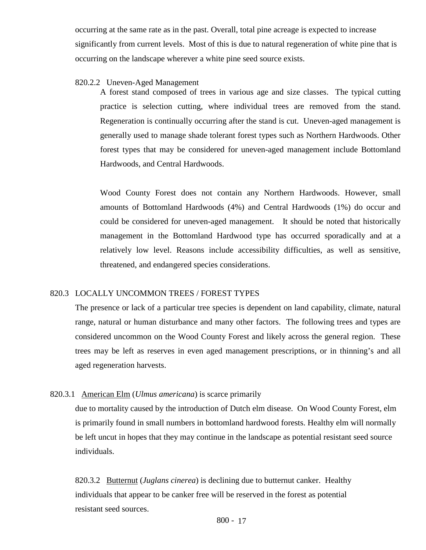occurring at the same rate as in the past. Overall, total pine acreage is expected to increase significantly from current levels. Most of this is due to natural regeneration of white pine that is occurring on the landscape wherever a white pine seed source exists.

#### 820.2.2 Uneven-Aged Management

A forest stand composed of trees in various age and size classes. The typical cutting practice is selection cutting, where individual trees are removed from the stand. Regeneration is continually occurring after the stand is cut. Uneven-aged management is generally used to manage shade tolerant forest types such as Northern Hardwoods. Other forest types that may be considered for uneven-aged management include Bottomland Hardwoods, and Central Hardwoods.

Wood County Forest does not contain any Northern Hardwoods. However, small amounts of Bottomland Hardwoods (4%) and Central Hardwoods (1%) do occur and could be considered for uneven-aged management. It should be noted that historically management in the Bottomland Hardwood type has occurred sporadically and at a relatively low level. Reasons include accessibility difficulties, as well as sensitive, threatened, and endangered species considerations.

#### 820.3 LOCALLY UNCOMMON TREES / FOREST TYPES

The presence or lack of a particular tree species is dependent on land capability, climate, natural range, natural or human disturbance and many other factors. The following trees and types are considered uncommon on the Wood County Forest and likely across the general region. These trees may be left as reserves in even aged management prescriptions, or in thinning's and all aged regeneration harvests.

### 820.3.1 American Elm (*Ulmus americana*) is scarce primarily

due to mortality caused by the introduction of Dutch elm disease. On Wood County Forest, elm is primarily found in small numbers in bottomland hardwood forests. Healthy elm will normally be left uncut in hopes that they may continue in the landscape as potential resistant seed source individuals.

820.3.2 Butternut (*Juglans cinerea*) is declining due to butternut canker. Healthy individuals that appear to be canker free will be reserved in the forest as potential resistant seed sources.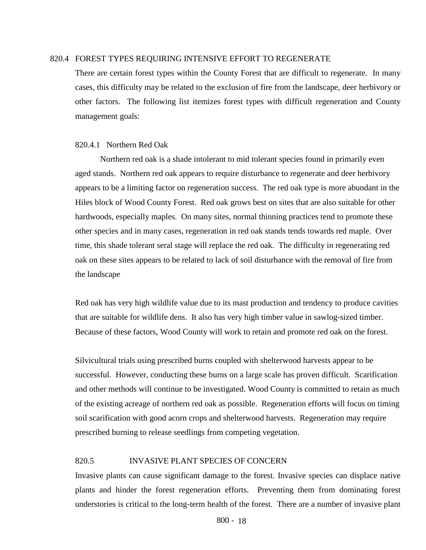### 820.4 FOREST TYPES REQUIRING INTENSIVE EFFORT TO REGENERATE

There are certain forest types within the County Forest that are difficult to regenerate. In many cases, this difficulty may be related to the exclusion of fire from the landscape, deer herbivory or other factors. The following list itemizes forest types with difficult regeneration and County management goals:

#### 820.4.1 Northern Red Oak

Northern red oak is a shade intolerant to mid tolerant species found in primarily even aged stands. Northern red oak appears to require disturbance to regenerate and deer herbivory appears to be a limiting factor on regeneration success. The red oak type is more abundant in the Hiles block of Wood County Forest. Red oak grows best on sites that are also suitable for other hardwoods, especially maples. On many sites, normal thinning practices tend to promote these other species and in many cases, regeneration in red oak stands tends towards red maple. Over time, this shade tolerant seral stage will replace the red oak. The difficulty in regenerating red oak on these sites appears to be related to lack of soil disturbance with the removal of fire from the landscape

Red oak has very high wildlife value due to its mast production and tendency to produce cavities that are suitable for wildlife dens. It also has very high timber value in sawlog-sized timber. Because of these factors, Wood County will work to retain and promote red oak on the forest.

Silvicultural trials using prescribed burns coupled with shelterwood harvests appear to be successful. However, conducting these burns on a large scale has proven difficult. Scarification and other methods will continue to be investigated. Wood County is committed to retain as much of the existing acreage of northern red oak as possible. Regeneration efforts will focus on timing soil scarification with good acorn crops and shelterwood harvests. Regeneration may require prescribed burning to release seedlings from competing vegetation.

#### 820.5 INVASIVE PLANT SPECIES OF CONCERN

Invasive plants can cause significant damage to the forest. Invasive species can displace native plants and hinder the forest regeneration efforts. Preventing them from dominating forest understories is critical to the long-term health of the forest. There are a number of invasive plant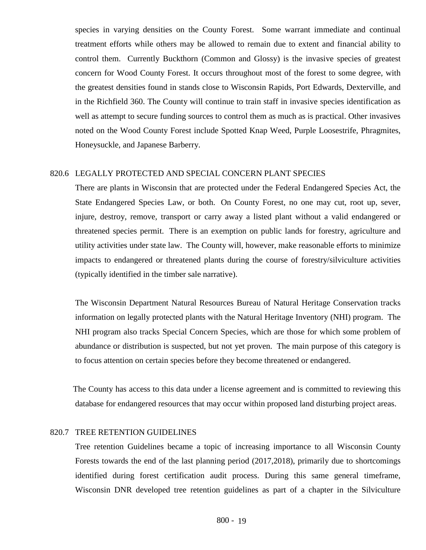species in varying densities on the County Forest. Some warrant immediate and continual treatment efforts while others may be allowed to remain due to extent and financial ability to control them. Currently Buckthorn (Common and Glossy) is the invasive species of greatest concern for Wood County Forest. It occurs throughout most of the forest to some degree, with the greatest densities found in stands close to Wisconsin Rapids, Port Edwards, Dexterville, and in the Richfield 360. The County will continue to train staff in invasive species identification as well as attempt to secure funding sources to control them as much as is practical. Other invasives noted on the Wood County Forest include Spotted Knap Weed, Purple Loosestrife, Phragmites, Honeysuckle, and Japanese Barberry.

### 820.6 LEGALLY PROTECTED AND SPECIAL CONCERN PLANT SPECIES

There are plants in Wisconsin that are protected under the Federal Endangered Species Act, the State Endangered Species Law, or both. On County Forest, no one may cut, root up, sever, injure, destroy, remove, transport or carry away a listed plant without a valid endangered or threatened species permit. There is an exemption on public lands for forestry, agriculture and utility activities under state law. The County will, however, make reasonable efforts to minimize impacts to endangered or threatened plants during the course of forestry/silviculture activities (typically identified in the timber sale narrative).

 The Wisconsin Department Natural Resources Bureau of Natural Heritage Conservation tracks information on legally protected plants with the Natural Heritage Inventory (NHI) program. The NHI program also tracks Special Concern Species, which are those for which some problem of abundance or distribution is suspected, but not yet proven. The main purpose of this category is to focus attention on certain species before they become threatened or endangered.

 The County has access to this data under a license agreement and is committed to reviewing this database for endangered resources that may occur within proposed land disturbing project areas.

### 820.7 TREE RETENTION GUIDELINES

Tree retention Guidelines became a topic of increasing importance to all Wisconsin County Forests towards the end of the last planning period (2017,2018), primarily due to shortcomings identified during forest certification audit process. During this same general timeframe, Wisconsin DNR developed tree retention guidelines as part of a chapter in the Silviculture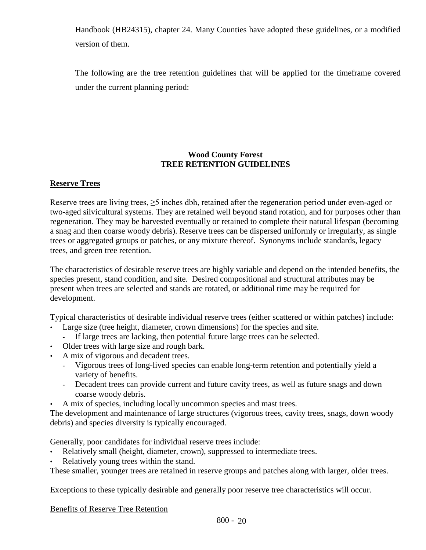Handbook (HB24315), chapter 24. Many Counties have adopted these guidelines, or a modified version of them.

The following are the tree retention guidelines that will be applied for the timeframe covered under the current planning period:

# **Wood County Forest TREE RETENTION GUIDELINES**

# **Reserve Trees**

Reserve trees are living trees, ≥5 inches dbh, retained after the regeneration period under even-aged or two-aged silvicultural systems. They are retained well beyond stand rotation, and for purposes other than regeneration. They may be harvested eventually or retained to complete their natural lifespan (becoming a snag and then coarse woody debris). Reserve trees can be dispersed uniformly or irregularly, as single trees or aggregated groups or patches, or any mixture thereof. Synonyms include standards, legacy trees, and green tree retention.

The characteristics of desirable reserve trees are highly variable and depend on the intended benefits, the species present, stand condition, and site. Desired compositional and structural attributes may be present when trees are selected and stands are rotated, or additional time may be required for development.

Typical characteristics of desirable individual reserve trees (either scattered or within patches) include:

- Large size (tree height, diameter, crown dimensions) for the species and site.
	- If large trees are lacking, then potential future large trees can be selected.
- Older trees with large size and rough bark.
- A mix of vigorous and decadent trees.
	- Vigorous trees of long-lived species can enable long-term retention and potentially yield a variety of benefits.
	- Decadent trees can provide current and future cavity trees, as well as future snags and down coarse woody debris.
- A mix of species, including locally uncommon species and mast trees.

The development and maintenance of large structures (vigorous trees, cavity trees, snags, down woody debris) and species diversity is typically encouraged.

Generally, poor candidates for individual reserve trees include:

- Relatively small (height, diameter, crown), suppressed to intermediate trees.
- Relatively young trees within the stand.

These smaller, younger trees are retained in reserve groups and patches along with larger, older trees.

Exceptions to these typically desirable and generally poor reserve tree characteristics will occur.

Benefits of Reserve Tree Retention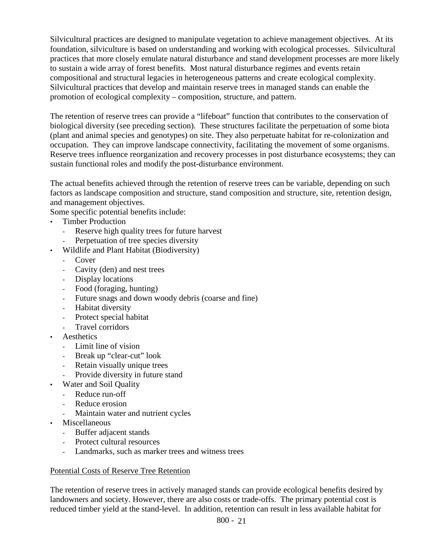Silvicultural practices are designed to manipulate vegetation to achieve management objectives. At its foundation, silviculture is based on understanding and working with ecological processes. Silvicultural practices that more closely emulate natural disturbance and stand development processes are more likely to sustain a wide array of forest benefits. Most natural disturbance regimes and events retain compositional and structural legacies in heterogeneous patterns and create ecological complexity. Silvicultural practices that develop and maintain reserve trees in managed stands can enable the promotion of ecological complexity – composition, structure, and pattern.

The retention of reserve trees can provide a "lifeboat" function that contributes to the conservation of biological diversity (see preceding section). These structures facilitate the perpetuation of some biota (plant and animal species and genotypes) on site. They also perpetuate habitat for re-colonization and occupation. They can improve landscape connectivity, facilitating the movement of some organisms. Reserve trees influence reorganization and recovery processes in post disturbance ecosystems; they can sustain functional roles and modify the post-disturbance environment.

The actual benefits achieved through the retention of reserve trees can be variable, depending on such factors as landscape composition and structure, stand composition and structure, site, retention design, and management objectives.

Some specific potential benefits include:

- Timber Production
	- Reserve high quality trees for future harvest
	- Perpetuation of tree species diversity
	- Wildlife and Plant Habitat (Biodiversity)
		- Cover
		- Cavity (den) and nest trees
		- Display locations
		- Food (foraging, hunting)
		- Future snags and down woody debris (coarse and fine)
		- Habitat diversity
		- Protect special habitat
		- Travel corridors
- Aesthetics
	- Limit line of vision
	- Break up "clear-cut" look
	- Retain visually unique trees
	- Provide diversity in future stand
- Water and Soil Quality
	- Reduce run-off
	- Reduce erosion
	- Maintain water and nutrient cycles
- Miscellaneous
	- Buffer adjacent stands
	- Protect cultural resources
	- Landmarks, such as marker trees and witness trees

# Potential Costs of Reserve Tree Retention

The retention of reserve trees in actively managed stands can provide ecological benefits desired by landowners and society. However, there are also costs or trade-offs. The primary potential cost is reduced timber yield at the stand-level. In addition, retention can result in less available habitat for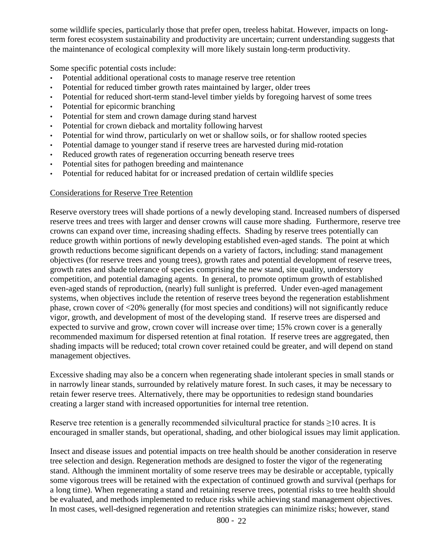some wildlife species, particularly those that prefer open, treeless habitat. However, impacts on longterm forest ecosystem sustainability and productivity are uncertain; current understanding suggests that the maintenance of ecological complexity will more likely sustain long-term productivity.

Some specific potential costs include:

- Potential additional operational costs to manage reserve tree retention
- Potential for reduced timber growth rates maintained by larger, older trees
- Potential for reduced short-term stand-level timber yields by foregoing harvest of some trees
- Potential for epicormic branching
- Potential for stem and crown damage during stand harvest
- Potential for crown dieback and mortality following harvest
- Potential for wind throw, particularly on wet or shallow soils, or for shallow rooted species
- Potential damage to younger stand if reserve trees are harvested during mid-rotation
- Reduced growth rates of regeneration occurring beneath reserve trees
- Potential sites for pathogen breeding and maintenance
- Potential for reduced habitat for or increased predation of certain wildlife species

# Considerations for Reserve Tree Retention

Reserve overstory trees will shade portions of a newly developing stand. Increased numbers of dispersed reserve trees and trees with larger and denser crowns will cause more shading. Furthermore, reserve tree crowns can expand over time, increasing shading effects. Shading by reserve trees potentially can reduce growth within portions of newly developing established even-aged stands. The point at which growth reductions become significant depends on a variety of factors, including: stand management objectives (for reserve trees and young trees), growth rates and potential development of reserve trees, growth rates and shade tolerance of species comprising the new stand, site quality, understory competition, and potential damaging agents. In general, to promote optimum growth of established even-aged stands of reproduction, (nearly) full sunlight is preferred. Under even-aged management systems, when objectives include the retention of reserve trees beyond the regeneration establishment phase, crown cover of <20% generally (for most species and conditions) will not significantly reduce vigor, growth, and development of most of the developing stand. If reserve trees are dispersed and expected to survive and grow, crown cover will increase over time; 15% crown cover is a generally recommended maximum for dispersed retention at final rotation. If reserve trees are aggregated, then shading impacts will be reduced; total crown cover retained could be greater, and will depend on stand management objectives.

Excessive shading may also be a concern when regenerating shade intolerant species in small stands or in narrowly linear stands, surrounded by relatively mature forest. In such cases, it may be necessary to retain fewer reserve trees. Alternatively, there may be opportunities to redesign stand boundaries creating a larger stand with increased opportunities for internal tree retention.

Reserve tree retention is a generally recommended silvicultural practice for stands  $\geq 10$  acres. It is encouraged in smaller stands, but operational, shading, and other biological issues may limit application.

Insect and disease issues and potential impacts on tree health should be another consideration in reserve tree selection and design. Regeneration methods are designed to foster the vigor of the regenerating stand. Although the imminent mortality of some reserve trees may be desirable or acceptable, typically some vigorous trees will be retained with the expectation of continued growth and survival (perhaps for a long time). When regenerating a stand and retaining reserve trees, potential risks to tree health should be evaluated, and methods implemented to reduce risks while achieving stand management objectives. In most cases, well-designed regeneration and retention strategies can minimize risks; however, stand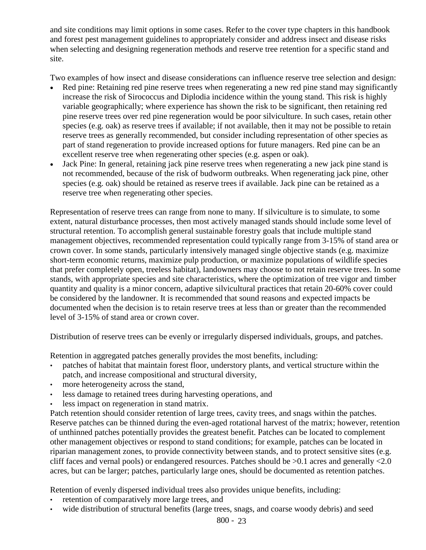and site conditions may limit options in some cases. Refer to the cover type chapters in this handbook and forest pest management guidelines to appropriately consider and address insect and disease risks when selecting and designing regeneration methods and reserve tree retention for a specific stand and site.

Two examples of how insect and disease considerations can influence reserve tree selection and design:

- Red pine: Retaining red pine reserve trees when regenerating a new red pine stand may significantly increase the risk of Sirococcus and Diplodia incidence within the young stand. This risk is highly variable geographically; where experience has shown the risk to be significant, then retaining red pine reserve trees over red pine regeneration would be poor silviculture. In such cases, retain other species (e.g. oak) as reserve trees if available; if not available, then it may not be possible to retain reserve trees as generally recommended, but consider including representation of other species as part of stand regeneration to provide increased options for future managers. Red pine can be an excellent reserve tree when regenerating other species (e.g. aspen or oak).
- Jack Pine: In general, retaining jack pine reserve trees when regenerating a new jack pine stand is not recommended, because of the risk of budworm outbreaks. When regenerating jack pine, other species (e.g. oak) should be retained as reserve trees if available. Jack pine can be retained as a reserve tree when regenerating other species.

Representation of reserve trees can range from none to many. If silviculture is to simulate, to some extent, natural disturbance processes, then most actively managed stands should include some level of structural retention. To accomplish general sustainable forestry goals that include multiple stand management objectives, recommended representation could typically range from 3-15% of stand area or crown cover. In some stands, particularly intensively managed single objective stands (e.g. maximize short-term economic returns, maximize pulp production, or maximize populations of wildlife species that prefer completely open, treeless habitat), landowners may choose to not retain reserve trees. In some stands, with appropriate species and site characteristics, where the optimization of tree vigor and timber quantity and quality is a minor concern, adaptive silvicultural practices that retain 20-60% cover could be considered by the landowner. It is recommended that sound reasons and expected impacts be documented when the decision is to retain reserve trees at less than or greater than the recommended level of 3-15% of stand area or crown cover.

Distribution of reserve trees can be evenly or irregularly dispersed individuals, groups, and patches.

Retention in aggregated patches generally provides the most benefits, including:

- patches of habitat that maintain forest floor, understory plants, and vertical structure within the patch, and increase compositional and structural diversity,
- more heterogeneity across the stand,
- less damage to retained trees during harvesting operations, and
- less impact on regeneration in stand matrix.

Patch retention should consider retention of large trees, cavity trees, and snags within the patches. Reserve patches can be thinned during the even-aged rotational harvest of the matrix; however, retention of unthinned patches potentially provides the greatest benefit. Patches can be located to complement other management objectives or respond to stand conditions; for example, patches can be located in riparian management zones, to provide connectivity between stands, and to protect sensitive sites (e.g. cliff faces and vernal pools) or endangered resources. Patches should be >0.1 acres and generally <2.0 acres, but can be larger; patches, particularly large ones, should be documented as retention patches.

Retention of evenly dispersed individual trees also provides unique benefits, including:

- retention of comparatively more large trees, and
- wide distribution of structural benefits (large trees, snags, and coarse woody debris) and seed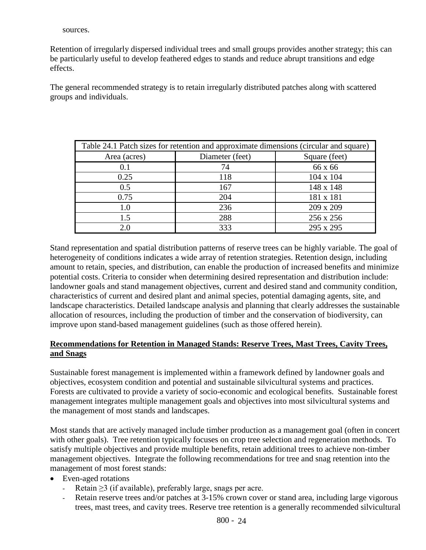Retention of irregularly dispersed individual trees and small groups provides another strategy; this can be particularly useful to develop feathered edges to stands and reduce abrupt transitions and edge effects.

The general recommended strategy is to retain irregularly distributed patches along with scattered groups and individuals.

| Table 24.1 Patch sizes for retention and approximate dimensions (circular and square) |                 |                  |  |  |  |
|---------------------------------------------------------------------------------------|-----------------|------------------|--|--|--|
| Area (acres)                                                                          | Diameter (feet) | Square (feet)    |  |  |  |
| 0.1                                                                                   | 74              | 66 x 66          |  |  |  |
| 0.25                                                                                  | 118             | $104 \times 104$ |  |  |  |
| 0.5                                                                                   | 167             | 148 x 148        |  |  |  |
| 0.75                                                                                  | 204             | 181 x 181        |  |  |  |
| 1.0                                                                                   | 236             | 209 x 209        |  |  |  |
| 1.5                                                                                   | 288             | 256 x 256        |  |  |  |
| 2.0                                                                                   | 333             | 295 x 295        |  |  |  |

Stand representation and spatial distribution patterns of reserve trees can be highly variable. The goal of heterogeneity of conditions indicates a wide array of retention strategies. Retention design, including amount to retain, species, and distribution, can enable the production of increased benefits and minimize potential costs. Criteria to consider when determining desired representation and distribution include: landowner goals and stand management objectives, current and desired stand and community condition, characteristics of current and desired plant and animal species, potential damaging agents, site, and landscape characteristics. Detailed landscape analysis and planning that clearly addresses the sustainable allocation of resources, including the production of timber and the conservation of biodiversity, can improve upon stand-based management guidelines (such as those offered herein).

# **Recommendations for Retention in Managed Stands: Reserve Trees, Mast Trees, Cavity Trees, and Snags**

Sustainable forest management is implemented within a framework defined by landowner goals and objectives, ecosystem condition and potential and sustainable silvicultural systems and practices. Forests are cultivated to provide a variety of socio-economic and ecological benefits. Sustainable forest management integrates multiple management goals and objectives into most silvicultural systems and the management of most stands and landscapes.

Most stands that are actively managed include timber production as a management goal (often in concert with other goals). Tree retention typically focuses on crop tree selection and regeneration methods. To satisfy multiple objectives and provide multiple benefits, retain additional trees to achieve non-timber management objectives. Integrate the following recommendations for tree and snag retention into the management of most forest stands:

- Even-aged rotations
	- Retain  $\geq$ 3 (if available), preferably large, snags per acre.
	- Retain reserve trees and/or patches at 3-15% crown cover or stand area, including large vigorous trees, mast trees, and cavity trees. Reserve tree retention is a generally recommended silvicultural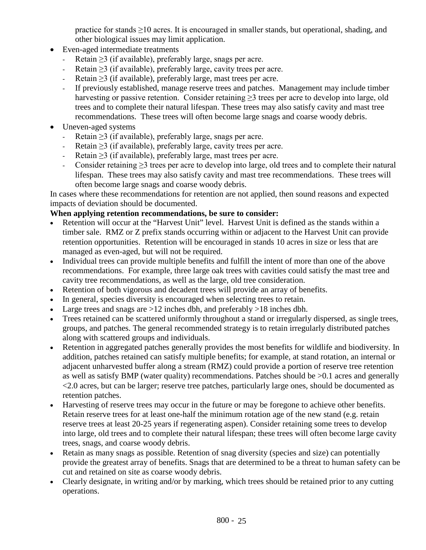practice for stands ≥10 acres. It is encouraged in smaller stands, but operational, shading, and other biological issues may limit application.

- Even-aged intermediate treatments
	- Retain  $\geq$ 3 (if available), preferably large, snags per acre.
	- Retain  $\geq$ 3 (if available), preferably large, cavity trees per acre.
	- Retain ≥3 (if available), preferably large, mast trees per acre.
	- If previously established, manage reserve trees and patches. Management may include timber harvesting or passive retention. Consider retaining  $\geq$  trees per acre to develop into large, old trees and to complete their natural lifespan. These trees may also satisfy cavity and mast tree recommendations. These trees will often become large snags and coarse woody debris.
- Uneven-aged systems
	- Retain ≥3 (if available), preferably large, snags per acre.
	- Retain  $>$ 3 (if available), preferably large, cavity trees per acre.
	- Retain  $\geq$ 3 (if available), preferably large, mast trees per acre.
	- Consider retaining ≥3 trees per acre to develop into large, old trees and to complete their natural lifespan. These trees may also satisfy cavity and mast tree recommendations. These trees will often become large snags and coarse woody debris.

In cases where these recommendations for retention are not applied, then sound reasons and expected impacts of deviation should be documented.

# **When applying retention recommendations, be sure to consider:**

- Retention will occur at the "Harvest Unit" level. Harvest Unit is defined as the stands within a timber sale. RMZ or Z prefix stands occurring within or adjacent to the Harvest Unit can provide retention opportunities. Retention will be encouraged in stands 10 acres in size or less that are managed as even-aged, but will not be required.
- Individual trees can provide multiple benefits and fulfill the intent of more than one of the above recommendations. For example, three large oak trees with cavities could satisfy the mast tree and cavity tree recommendations, as well as the large, old tree consideration.
- Retention of both vigorous and decadent trees will provide an array of benefits.
- In general, species diversity is encouraged when selecting trees to retain.
- Large trees and snags are  $>12$  inches dbh, and preferably  $>18$  inches dbh.
- Trees retained can be scattered uniformly throughout a stand or irregularly dispersed, as single trees, groups, and patches. The general recommended strategy is to retain irregularly distributed patches along with scattered groups and individuals.
- Retention in aggregated patches generally provides the most benefits for wildlife and biodiversity. In addition, patches retained can satisfy multiple benefits; for example, at stand rotation, an internal or adjacent unharvested buffer along a stream (RMZ) could provide a portion of reserve tree retention as well as satisfy BMP (water quality) recommendations. Patches should be >0.1 acres and generally <2.0 acres, but can be larger; reserve tree patches, particularly large ones, should be documented as retention patches.
- Harvesting of reserve trees may occur in the future or may be foregone to achieve other benefits. Retain reserve trees for at least one-half the minimum rotation age of the new stand (e.g. retain reserve trees at least 20-25 years if regenerating aspen). Consider retaining some trees to develop into large, old trees and to complete their natural lifespan; these trees will often become large cavity trees, snags, and coarse woody debris.
- Retain as many snags as possible. Retention of snag diversity (species and size) can potentially provide the greatest array of benefits. Snags that are determined to be a threat to human safety can be cut and retained on site as coarse woody debris.
- Clearly designate, in writing and/or by marking, which trees should be retained prior to any cutting operations.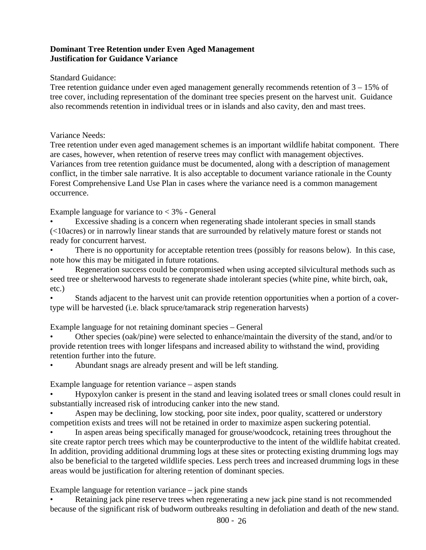# **Dominant Tree Retention under Even Aged Management Justification for Guidance Variance**

# Standard Guidance:

Tree retention guidance under even aged management generally recommends retention of 3 – 15% of tree cover, including representation of the dominant tree species present on the harvest unit. Guidance also recommends retention in individual trees or in islands and also cavity, den and mast trees.

# Variance Needs:

Tree retention under even aged management schemes is an important wildlife habitat component. There are cases, however, when retention of reserve trees may conflict with management objectives. Variances from tree retention guidance must be documented, along with a description of management conflict, in the timber sale narrative. It is also acceptable to document variance rationale in the County Forest Comprehensive Land Use Plan in cases where the variance need is a common management occurrence.

Example language for variance to  $<$  3% - General

• Excessive shading is a concern when regenerating shade intolerant species in small stands (<10acres) or in narrowly linear stands that are surrounded by relatively mature forest or stands not ready for concurrent harvest.

There is no opportunity for acceptable retention trees (possibly for reasons below). In this case, note how this may be mitigated in future rotations.

• Regeneration success could be compromised when using accepted silvicultural methods such as seed tree or shelterwood harvests to regenerate shade intolerant species (white pine, white birch, oak, etc.)

• Stands adjacent to the harvest unit can provide retention opportunities when a portion of a covertype will be harvested (i.e. black spruce/tamarack strip regeneration harvests)

Example language for not retaining dominant species – General

• Other species (oak/pine) were selected to enhance/maintain the diversity of the stand, and/or to provide retention trees with longer lifespans and increased ability to withstand the wind, providing retention further into the future.

• Abundant snags are already present and will be left standing.

Example language for retention variance – aspen stands

• Hypoxylon canker is present in the stand and leaving isolated trees or small clones could result in substantially increased risk of introducing canker into the new stand.

Aspen may be declining, low stocking, poor site index, poor quality, scattered or understory competition exists and trees will not be retained in order to maximize aspen suckering potential.

• In aspen areas being specifically managed for grouse/woodcock, retaining trees throughout the site create raptor perch trees which may be counterproductive to the intent of the wildlife habitat created. In addition, providing additional drumming logs at these sites or protecting existing drumming logs may also be beneficial to the targeted wildlife species. Less perch trees and increased drumming logs in these areas would be justification for altering retention of dominant species.

# Example language for retention variance – jack pine stands

Retaining jack pine reserve trees when regenerating a new jack pine stand is not recommended because of the significant risk of budworm outbreaks resulting in defoliation and death of the new stand.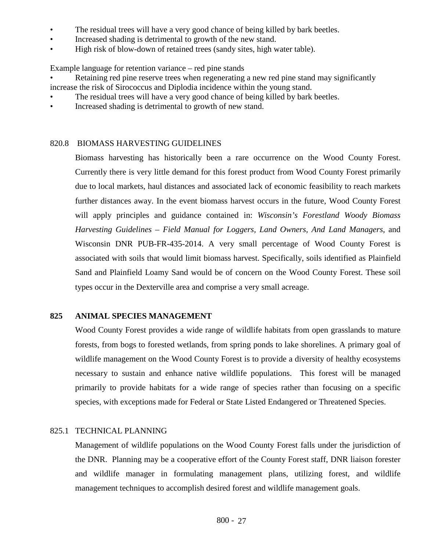- The residual trees will have a very good chance of being killed by bark beetles.
- Increased shading is detrimental to growth of the new stand.
- High risk of blow-down of retained trees (sandy sites, high water table).

Example language for retention variance – red pine stands

• Retaining red pine reserve trees when regenerating a new red pine stand may significantly increase the risk of Sirococcus and Diplodia incidence within the young stand.

- The residual trees will have a very good chance of being killed by bark beetles.
- Increased shading is detrimental to growth of new stand.

# 820.8 BIOMASS HARVESTING GUIDELINES

Biomass harvesting has historically been a rare occurrence on the Wood County Forest. Currently there is very little demand for this forest product from Wood County Forest primarily due to local markets, haul distances and associated lack of economic feasibility to reach markets further distances away. In the event biomass harvest occurs in the future, Wood County Forest will apply principles and guidance contained in: *Wisconsin's Forestland Woody Biomass Harvesting Guidelines – Field Manual for Loggers, Land Owners, And Land Managers*, and Wisconsin DNR PUB-FR-435-2014. A very small percentage of Wood County Forest is associated with soils that would limit biomass harvest. Specifically, soils identified as Plainfield Sand and Plainfield Loamy Sand would be of concern on the Wood County Forest. These soil types occur in the Dexterville area and comprise a very small acreage.

# **825 ANIMAL SPECIES MANAGEMENT**

Wood County Forest provides a wide range of wildlife habitats from open grasslands to mature forests, from bogs to forested wetlands, from spring ponds to lake shorelines. A primary goal of wildlife management on the Wood County Forest is to provide a diversity of healthy ecosystems necessary to sustain and enhance native wildlife populations. This forest will be managed primarily to provide habitats for a wide range of species rather than focusing on a specific species, with exceptions made for Federal or State Listed Endangered or Threatened Species.

# 825.1 TECHNICAL PLANNING

Management of wildlife populations on the Wood County Forest falls under the jurisdiction of the DNR. Planning may be a cooperative effort of the County Forest staff, DNR liaison forester and wildlife manager in formulating management plans, utilizing forest, and wildlife management techniques to accomplish desired forest and wildlife management goals.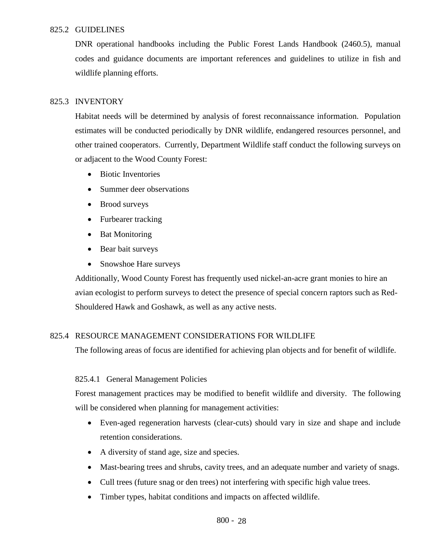# 825.2 GUIDELINES

DNR operational handbooks including the Public Forest Lands Handbook (2460.5), manual codes and guidance documents are important references and guidelines to utilize in fish and wildlife planning efforts.

# 825.3 INVENTORY

Habitat needs will be determined by analysis of forest reconnaissance information. Population estimates will be conducted periodically by DNR wildlife, endangered resources personnel, and other trained cooperators. Currently, Department Wildlife staff conduct the following surveys on or adjacent to the Wood County Forest:

- Biotic Inventories
- Summer deer observations
- Brood surveys
- Furbearer tracking
- Bat Monitoring
- Bear bait surveys
- Snowshoe Hare surveys

Additionally, Wood County Forest has frequently used nickel-an-acre grant monies to hire an avian ecologist to perform surveys to detect the presence of special concern raptors such as Red-Shouldered Hawk and Goshawk, as well as any active nests.

# 825.4 RESOURCE MANAGEMENT CONSIDERATIONS FOR WILDLIFE

The following areas of focus are identified for achieving plan objects and for benefit of wildlife.

# 825.4.1 General Management Policies

Forest management practices may be modified to benefit wildlife and diversity. The following will be considered when planning for management activities:

- Even-aged regeneration harvests (clear-cuts) should vary in size and shape and include retention considerations.
- A diversity of stand age, size and species.
- Mast-bearing trees and shrubs, cavity trees, and an adequate number and variety of snags.
- Cull trees (future snag or den trees) not interfering with specific high value trees.
- Timber types, habitat conditions and impacts on affected wildlife.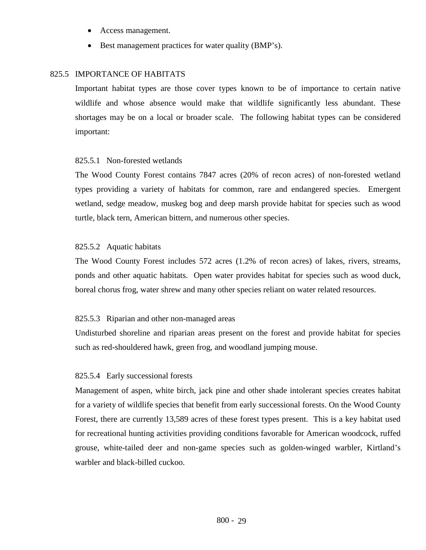- Access management.
- Best management practices for water quality (BMP's).

### 825.5 IMPORTANCE OF HABITATS

Important habitat types are those cover types known to be of importance to certain native wildlife and whose absence would make that wildlife significantly less abundant. These shortages may be on a local or broader scale. The following habitat types can be considered important:

#### 825.5.1 Non-forested wetlands

The Wood County Forest contains 7847 acres (20% of recon acres) of non-forested wetland types providing a variety of habitats for common, rare and endangered species. Emergent wetland, sedge meadow, muskeg bog and deep marsh provide habitat for species such as wood turtle, black tern, American bittern, and numerous other species.

### 825.5.2 Aquatic habitats

The Wood County Forest includes 572 acres (1.2% of recon acres) of lakes, rivers, streams, ponds and other aquatic habitats. Open water provides habitat for species such as wood duck, boreal chorus frog, water shrew and many other species reliant on water related resources.

#### 825.5.3 Riparian and other non-managed areas

Undisturbed shoreline and riparian areas present on the forest and provide habitat for species such as red-shouldered hawk, green frog, and woodland jumping mouse.

#### 825.5.4 Early successional forests

Management of aspen, white birch, jack pine and other shade intolerant species creates habitat for a variety of wildlife species that benefit from early successional forests. On the Wood County Forest, there are currently 13,589 acres of these forest types present. This is a key habitat used for recreational hunting activities providing conditions favorable for American woodcock, ruffed grouse, white-tailed deer and non-game species such as golden-winged warbler, Kirtland's warbler and black-billed cuckoo.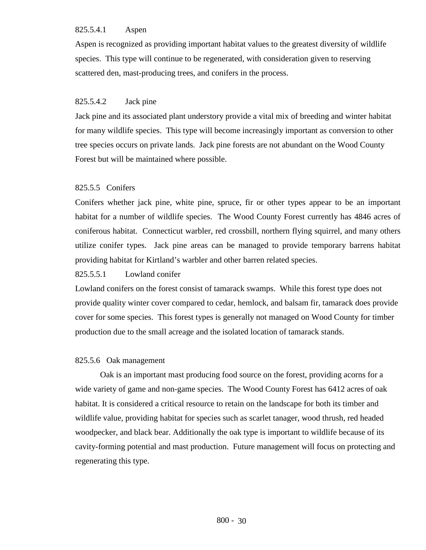# 825.5.4.1 Aspen

Aspen is recognized as providing important habitat values to the greatest diversity of wildlife species. This type will continue to be regenerated, with consideration given to reserving scattered den, mast-producing trees, and conifers in the process.

# 825.5.4.2 Jack pine

Jack pine and its associated plant understory provide a vital mix of breeding and winter habitat for many wildlife species. This type will become increasingly important as conversion to other tree species occurs on private lands. Jack pine forests are not abundant on the Wood County Forest but will be maintained where possible.

# 825.5.5 Conifers

Conifers whether jack pine, white pine, spruce, fir or other types appear to be an important habitat for a number of wildlife species. The Wood County Forest currently has 4846 acres of coniferous habitat. Connecticut warbler, red crossbill, northern flying squirrel, and many others utilize conifer types. Jack pine areas can be managed to provide temporary barrens habitat providing habitat for Kirtland's warbler and other barren related species.

# 825.5.5.1 Lowland conifer

Lowland conifers on the forest consist of tamarack swamps. While this forest type does not provide quality winter cover compared to cedar, hemlock, and balsam fir, tamarack does provide cover for some species. This forest types is generally not managed on Wood County for timber production due to the small acreage and the isolated location of tamarack stands.

# 825.5.6 Oak management

Oak is an important mast producing food source on the forest, providing acorns for a wide variety of game and non-game species. The Wood County Forest has 6412 acres of oak habitat. It is considered a critical resource to retain on the landscape for both its timber and wildlife value, providing habitat for species such as scarlet tanager, wood thrush, red headed woodpecker, and black bear. Additionally the oak type is important to wildlife because of its cavity-forming potential and mast production. Future management will focus on protecting and regenerating this type.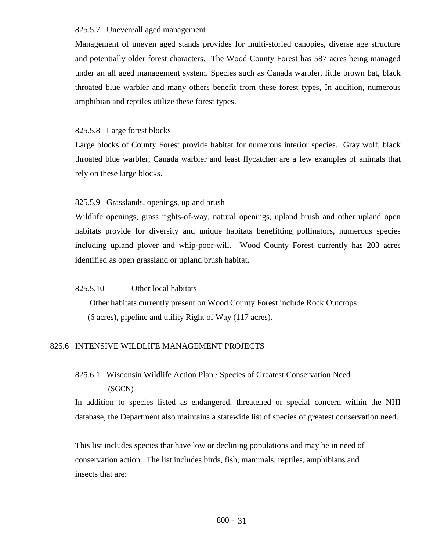### 825.5.7 Uneven/all aged management

Management of uneven aged stands provides for multi-storied canopies, diverse age structure and potentially older forest characters. The Wood County Forest has 587 acres being managed under an all aged management system. Species such as Canada warbler, little brown bat, black throated blue warbler and many others benefit from these forest types, In addition, numerous amphibian and reptiles utilize these forest types.

# 825.5.8 Large forest blocks

Large blocks of County Forest provide habitat for numerous interior species. Gray wolf, black throated blue warbler, Canada warbler and least flycatcher are a few examples of animals that rely on these large blocks.

# 825.5.9 Grasslands, openings, upland brush

Wildlife openings, grass rights-of-way, natural openings, upland brush and other upland open habitats provide for diversity and unique habitats benefitting pollinators, numerous species including upland plover and whip-poor-will. Wood County Forest currently has 203 acres identified as open grassland or upland brush habitat.

# 825.5.10 Other local habitats

Other habitats currently present on Wood County Forest include Rock Outcrops (6 acres), pipeline and utility Right of Way (117 acres).

# 825.6 INTENSIVE WILDLIFE MANAGEMENT PROJECTS

# 825.6.1 Wisconsin Wildlife Action Plan / Species of Greatest Conservation Need (SGCN)

In addition to species listed as endangered, threatened or special concern within the NHI database, the Department also maintains a statewide list of species of greatest conservation need.

This list includes species that have low or declining populations and may be in need of conservation action. The list includes birds, fish, mammals, reptiles, amphibians and insects that are: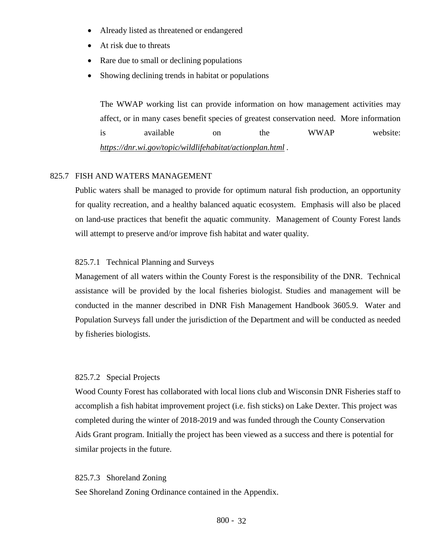- Already listed as threatened or endangered
- At risk due to threats
- Rare due to small or declining populations
- Showing declining trends in habitat or populations

The WWAP working list can provide information on how management activities may affect, or in many cases benefit species of greatest conservation need. More information is available on the WWAP website: *<https://dnr.wi.gov/topic/wildlifehabitat/actionplan.html> .*

# 825.7 FISH AND WATERS MANAGEMENT

Public waters shall be managed to provide for optimum natural fish production, an opportunity for quality recreation, and a healthy balanced aquatic ecosystem. Emphasis will also be placed on land-use practices that benefit the aquatic community. Management of County Forest lands will attempt to preserve and/or improve fish habitat and water quality.

#### 825.7.1 Technical Planning and Surveys

Management of all waters within the County Forest is the responsibility of the DNR. Technical assistance will be provided by the local fisheries biologist. Studies and management will be conducted in the manner described in DNR Fish Management Handbook 3605.9. Water and Population Surveys fall under the jurisdiction of the Department and will be conducted as needed by fisheries biologists.

#### 825.7.2 Special Projects

Wood County Forest has collaborated with local lions club and Wisconsin DNR Fisheries staff to accomplish a fish habitat improvement project (i.e. fish sticks) on Lake Dexter. This project was completed during the winter of 2018-2019 and was funded through the County Conservation Aids Grant program. Initially the project has been viewed as a success and there is potential for similar projects in the future.

#### 825.7.3 Shoreland Zoning

See Shoreland Zoning Ordinance contained in the Appendix.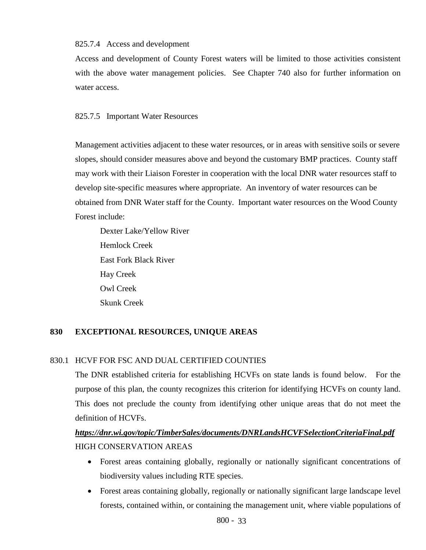### 825.7.4 Access and development

Access and development of County Forest waters will be limited to those activities consistent with the above water management policies. See Chapter 740 also for further information on water access.

# 825.7.5 Important Water Resources

Management activities adjacent to these water resources, or in areas with sensitive soils or severe slopes, should consider measures above and beyond the customary BMP practices. County staff may work with their Liaison Forester in cooperation with the local DNR water resources staff to develop site-specific measures where appropriate. An inventory of water resources can be obtained from DNR Water staff for the County. Important water resources on the Wood County Forest include:

Dexter Lake/Yellow River Hemlock Creek East Fork Black River Hay Creek Owl Creek Skunk Creek

# **830 EXCEPTIONAL RESOURCES, UNIQUE AREAS**

# 830.1 HCVF FOR FSC AND DUAL CERTIFIED COUNTIES

The DNR established criteria for establishing HCVFs on state lands is found below. For the purpose of this plan, the county recognizes this criterion for identifying HCVFs on county land. This does not preclude the county from identifying other unique areas that do not meet the definition of HCVFs.

# *<https://dnr.wi.gov/topic/TimberSales/documents/DNRLandsHCVFSelectionCriteriaFinal.pdf>* HIGH CONSERVATION AREAS

- Forest areas containing globally, regionally or nationally significant concentrations of biodiversity values including RTE species.
- Forest areas containing globally, regionally or nationally significant large landscape level forests, contained within, or containing the management unit, where viable populations of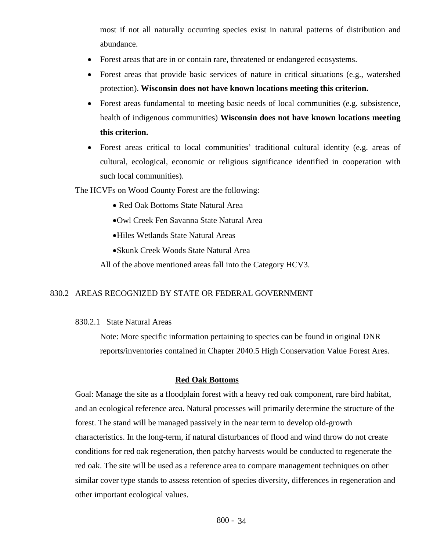most if not all naturally occurring species exist in natural patterns of distribution and abundance.

- Forest areas that are in or contain rare, threatened or endangered ecosystems.
- Forest areas that provide basic services of nature in critical situations (e.g., watershed protection). **Wisconsin does not have known locations meeting this criterion.**
- Forest areas fundamental to meeting basic needs of local communities (e.g. subsistence, health of indigenous communities) **Wisconsin does not have known locations meeting this criterion.**
- Forest areas critical to local communities' traditional cultural identity (e.g. areas of cultural, ecological, economic or religious significance identified in cooperation with such local communities).

The HCVFs on Wood County Forest are the following:

- Red Oak Bottoms State Natural Area
- •Owl Creek Fen Savanna State Natural Area
- •Hiles Wetlands State Natural Areas
- •Skunk Creek Woods State Natural Area

All of the above mentioned areas fall into the Category HCV3.

# 830.2 AREAS RECOGNIZED BY STATE OR FEDERAL GOVERNMENT

830.2.1 State Natural Areas

Note: More specific information pertaining to species can be found in original DNR reports/inventories contained in Chapter 2040.5 High Conservation Value Forest Ares.

### **Red Oak Bottoms**

Goal: Manage the site as a floodplain forest with a heavy red oak component, rare bird habitat, and an ecological reference area. Natural processes will primarily determine the structure of the forest. The stand will be managed passively in the near term to develop old-growth characteristics. In the long-term, if natural disturbances of flood and wind throw do not create conditions for red oak regeneration, then patchy harvests would be conducted to regenerate the red oak. The site will be used as a reference area to compare management techniques on other similar cover type stands to assess retention of species diversity, differences in regeneration and other important ecological values.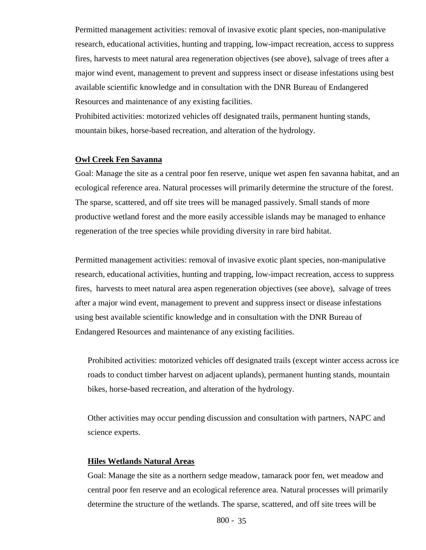Permitted management activities: removal of invasive exotic plant species, non-manipulative research, educational activities, hunting and trapping, low-impact recreation, access to suppress fires, harvests to meet natural area regeneration objectives (see above), salvage of trees after a major wind event, management to prevent and suppress insect or disease infestations using best available scientific knowledge and in consultation with the DNR Bureau of Endangered Resources and maintenance of any existing facilities.

Prohibited activities: motorized vehicles off designated trails, permanent hunting stands, mountain bikes, horse-based recreation, and alteration of the hydrology.

### **Owl Creek Fen Savanna**

Goal: Manage the site as a central poor fen reserve, unique wet aspen fen savanna habitat, and an ecological reference area. Natural processes will primarily determine the structure of the forest. The sparse, scattered, and off site trees will be managed passively. Small stands of more productive wetland forest and the more easily accessible islands may be managed to enhance regeneration of the tree species while providing diversity in rare bird habitat.

Permitted management activities: removal of invasive exotic plant species, non-manipulative research, educational activities, hunting and trapping, low-impact recreation, access to suppress fires, harvests to meet natural area aspen regeneration objectives (see above), salvage of trees after a major wind event, management to prevent and suppress insect or disease infestations using best available scientific knowledge and in consultation with the DNR Bureau of Endangered Resources and maintenance of any existing facilities.

Prohibited activities: motorized vehicles off designated trails (except winter access across ice roads to conduct timber harvest on adjacent uplands), permanent hunting stands, mountain bikes, horse-based recreation, and alteration of the hydrology.

Other activities may occur pending discussion and consultation with partners, NAPC and science experts.

### **Hiles Wetlands Natural Areas**

Goal: Manage the site as a northern sedge meadow, tamarack poor fen, wet meadow and central poor fen reserve and an ecological reference area. Natural processes will primarily determine the structure of the wetlands. The sparse, scattered, and off site trees will be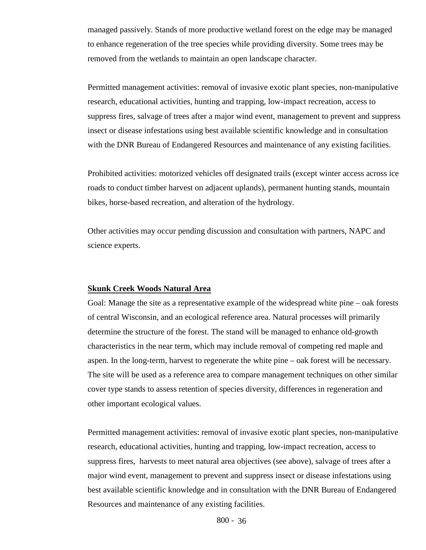managed passively. Stands of more productive wetland forest on the edge may be managed to enhance regeneration of the tree species while providing diversity. Some trees may be removed from the wetlands to maintain an open landscape character.

Permitted management activities: removal of invasive exotic plant species, non-manipulative research, educational activities, hunting and trapping, low-impact recreation, access to suppress fires, salvage of trees after a major wind event, management to prevent and suppress insect or disease infestations using best available scientific knowledge and in consultation with the DNR Bureau of Endangered Resources and maintenance of any existing facilities.

Prohibited activities: motorized vehicles off designated trails (except winter access across ice roads to conduct timber harvest on adjacent uplands), permanent hunting stands, mountain bikes, horse-based recreation, and alteration of the hydrology.

Other activities may occur pending discussion and consultation with partners, NAPC and science experts.

#### **Skunk Creek Woods Natural Area**

Goal: Manage the site as a representative example of the widespread white pine – oak forests of central Wisconsin, and an ecological reference area. Natural processes will primarily determine the structure of the forest. The stand will be managed to enhance old-growth characteristics in the near term, which may include removal of competing red maple and aspen. In the long-term, harvest to regenerate the white pine – oak forest will be necessary. The site will be used as a reference area to compare management techniques on other similar cover type stands to assess retention of species diversity, differences in regeneration and other important ecological values.

Permitted management activities: removal of invasive exotic plant species, non-manipulative research, educational activities, hunting and trapping, low-impact recreation, access to suppress fires, harvests to meet natural area objectives (see above), salvage of trees after a major wind event, management to prevent and suppress insect or disease infestations using best available scientific knowledge and in consultation with the DNR Bureau of Endangered Resources and maintenance of any existing facilities.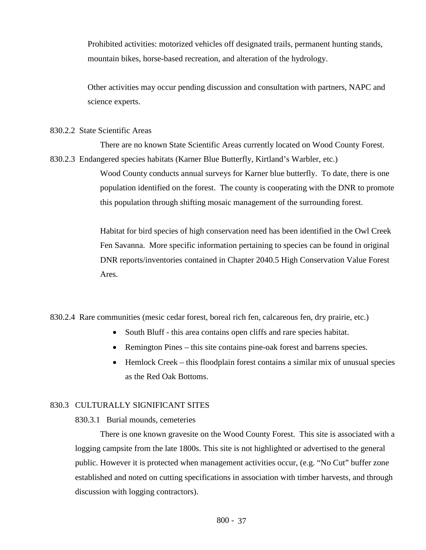Prohibited activities: motorized vehicles off designated trails, permanent hunting stands, mountain bikes, horse-based recreation, and alteration of the hydrology.

Other activities may occur pending discussion and consultation with partners, NAPC and science experts.

#### 830.2.2 State Scientific Areas

There are no known State Scientific Areas currently located on Wood County Forest. 830.2.3 Endangered species habitats (Karner Blue Butterfly, Kirtland's Warbler, etc.)

> Wood County conducts annual surveys for Karner blue butterfly. To date, there is one population identified on the forest. The county is cooperating with the DNR to promote this population through shifting mosaic management of the surrounding forest.

Habitat for bird species of high conservation need has been identified in the Owl Creek Fen Savanna. More specific information pertaining to species can be found in original DNR reports/inventories contained in Chapter 2040.5 High Conservation Value Forest Ares.

830.2.4 Rare communities (mesic cedar forest, boreal rich fen, calcareous fen, dry prairie, etc.)

- South Bluff this area contains open cliffs and rare species habitat.
- Remington Pines this site contains pine-oak forest and barrens species.
- Hemlock Creek this floodplain forest contains a similar mix of unusual species as the Red Oak Bottoms.

# 830.3 CULTURALLY SIGNIFICANT SITES

830.3.1 Burial mounds, cemeteries

There is one known gravesite on the Wood County Forest. This site is associated with a logging campsite from the late 1800s. This site is not highlighted or advertised to the general public. However it is protected when management activities occur, (e.g. "No Cut" buffer zone established and noted on cutting specifications in association with timber harvests, and through discussion with logging contractors).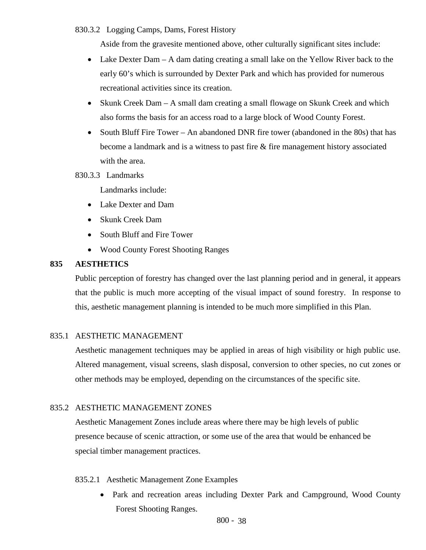# 830.3.2 Logging Camps, Dams, Forest History

Aside from the gravesite mentioned above, other culturally significant sites include:

- Lake Dexter Dam A dam dating creating a small lake on the Yellow River back to the early 60's which is surrounded by Dexter Park and which has provided for numerous recreational activities since its creation.
- Skunk Creek Dam A small dam creating a small flowage on Skunk Creek and which also forms the basis for an access road to a large block of Wood County Forest.
- South Bluff Fire Tower An abandoned DNR fire tower (abandoned in the 80s) that has become a landmark and is a witness to past fire  $\&$  fire management history associated with the area.

# 830.3.3 Landmarks

Landmarks include:

- Lake Dexter and Dam
- Skunk Creek Dam
- South Bluff and Fire Tower
- Wood County Forest Shooting Ranges

# **835 AESTHETICS**

Public perception of forestry has changed over the last planning period and in general, it appears that the public is much more accepting of the visual impact of sound forestry. In response to this, aesthetic management planning is intended to be much more simplified in this Plan.

#### 835.1 AESTHETIC MANAGEMENT

Aesthetic management techniques may be applied in areas of high visibility or high public use. Altered management, visual screens, slash disposal, conversion to other species, no cut zones or other methods may be employed, depending on the circumstances of the specific site.

# 835.2AESTHETIC MANAGEMENT ZONES

 Aesthetic Management Zones include areas where there may be high levels of public presence because of scenic attraction, or some use of the area that would be enhanced be special timber management practices.

### 835.2.1 Aesthetic Management Zone Examples

• Park and recreation areas including Dexter Park and Campground, Wood County Forest Shooting Ranges.